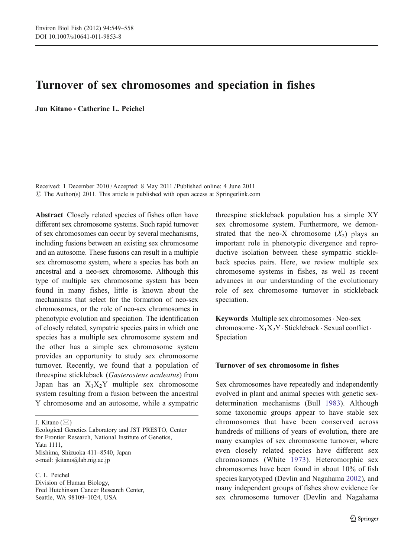# Turnover of sex chromosomes and speciation in fishes

Jun Kitano & Catherine L. Peichel

Received: 1 December 2010 /Accepted: 8 May 2011 / Published online: 4 June 2011  $\odot$  The Author(s) 2011. This article is published with open access at Springerlink.com

Abstract Closely related species of fishes often have different sex chromosome systems. Such rapid turnover of sex chromosomes can occur by several mechanisms, including fusions between an existing sex chromosome and an autosome. These fusions can result in a multiple sex chromosome system, where a species has both an ancestral and a neo-sex chromosome. Although this type of multiple sex chromosome system has been found in many fishes, little is known about the mechanisms that select for the formation of neo-sex chromosomes, or the role of neo-sex chromosomes in phenotypic evolution and speciation. The identification of closely related, sympatric species pairs in which one species has a multiple sex chromosome system and the other has a simple sex chromosome system provides an opportunity to study sex chromosome turnover. Recently, we found that a population of threespine stickleback (Gasterosteus aculeatus) from Japan has an  $X_1X_2Y$  multiple sex chromosome system resulting from a fusion between the ancestral Y chromosome and an autosome, while a sympatric

J. Kitano  $(\boxtimes)$ 

Ecological Genetics Laboratory and JST PRESTO, Center for Frontier Research, National Institute of Genetics, Yata 1111, Mishima, Shizuoka 411–8540, Japan e-mail: jkitano@lab.nig.ac.jp

C. L. Peichel

Division of Human Biology, Fred Hutchinson Cancer Research Center, Seattle, WA 98109–1024, USA

threespine stickleback population has a simple XY sex chromosome system. Furthermore, we demonstrated that the neo-X chromosome  $(X_2)$  plays an important role in phenotypic divergence and reproductive isolation between these sympatric stickleback species pairs. Here, we review multiple sex chromosome systems in fishes, as well as recent advances in our understanding of the evolutionary role of sex chromosome turnover in stickleback speciation.

Keywords Multiple sex chromosomes · Neo-sex chromosome  $X_1X_2Y$ . Stickleback  $\cdot$  Sexual conflict  $\cdot$ Speciation

# Turnover of sex chromosome in fishes

Sex chromosomes have repeatedly and independently evolved in plant and animal species with genetic sexdetermination mechanisms (Bull [1983](#page-7-0)). Although some taxonomic groups appear to have stable sex chromosomes that have been conserved across hundreds of millions of years of evolution, there are many examples of sex chromosome turnover, where even closely related species have different sex chromosomes (White [1973\)](#page-9-0). Heteromorphic sex chromosomes have been found in about 10% of fish species karyotyped (Devlin and Nagahama [2002\)](#page-7-0), and many independent groups of fishes show evidence for sex chromosome turnover (Devlin and Nagahama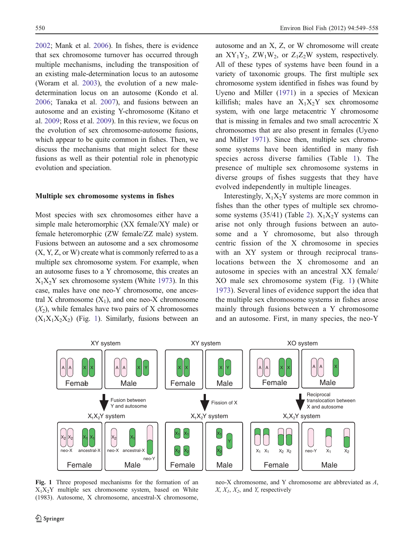<span id="page-1-0"></span>[2002;](#page-7-0) Mank et al. [2006\)](#page-8-0). In fishes, there is evidence that sex chromosome turnover has occurred through multiple mechanisms, including the transposition of an existing male-determination locus to an autosome (Woram et al. [2003\)](#page-9-0), the evolution of a new maledetermination locus on an autosome (Kondo et al. [2006;](#page-8-0) Tanaka et al. [2007\)](#page-8-0), and fusions between an autosome and an existing Y-chromosome (Kitano et al. [2009;](#page-7-0) Ross et al. [2009](#page-8-0)). In this review, we focus on the evolution of sex chromosome-autosome fusions, which appear to be quite common in fishes. Then, we discuss the mechanisms that might select for these fusions as well as their potential role in phenotypic evolution and speciation.

### Multiple sex chromosome systems in fishes

Most species with sex chromosomes either have a simple male heteromorphic (XX female/XY male) or female heteromorphic (ZW female/ZZ male) system. Fusions between an autosome and a sex chromosome (X, Y, Z, or W) create what is commonly referred to as a multiple sex chromosome system. For example, when an autosome fuses to a Y chromosome, this creates an  $X_1X_2Y$  sex chromosome system (White [1973](#page-9-0)). In this case, males have one neo-Y chromosome, one ancestral X chromosome  $(X_1)$ , and one neo-X chromosome  $(X_2)$ , while females have two pairs of X chromosomes  $(X_1X_1X_2X_2)$  (Fig. 1). Similarly, fusions between an autosome and an X, Z, or W chromosome will create an  $XY_1Y_2$ ,  $ZW_1W_2$ , or  $Z_1Z_2W$  system, respectively. All of these types of systems have been found in a variety of taxonomic groups. The first multiple sex chromosome system identified in fishes was found by Uyeno and Miller ([1971](#page-8-0)) in a species of Mexican killifish; males have an  $X_1X_2Y$  sex chromosome system, with one large metacentric Y chromosome that is missing in females and two small acrocentric X chromosomes that are also present in females (Uyeno and Miller [1971](#page-8-0)). Since then, multiple sex chromosome systems have been identified in many fish species across diverse families (Table [1\)](#page-2-0). The presence of multiple sex chromosome systems in diverse groups of fishes suggests that they have evolved independently in multiple lineages.

Interestingly,  $X_1X_2Y$  systems are more common in fishes than the other types of multiple sex chromo-some systems (35/41) (Table [2](#page-4-0)).  $X_1X_2Y$  systems can arise not only through fusions between an autosome and a Y chromosome, but also through centric fission of the X chromosome in species with an XY system or through reciprocal translocations between the X chromosome and an autosome in species with an ancestral XX female/ XO male sex chromosome system (Fig. 1) (White [1973](#page-9-0)). Several lines of evidence support the idea that the multiple sex chromosome systems in fishes arose mainly through fusions between a Y chromosome and an autosome. First, in many species, the neo-Y



Fig. 1 Three proposed mechanisms for the formation of an  $X_1X_2Y$  multiple sex chromosome system, based on White (1983). Autosome, X chromosome, ancestral-X chromosome,

neo-X chromosome, and Y chromosome are abbreviated as A,  $X, X_1, X_2$ , and Y, respectively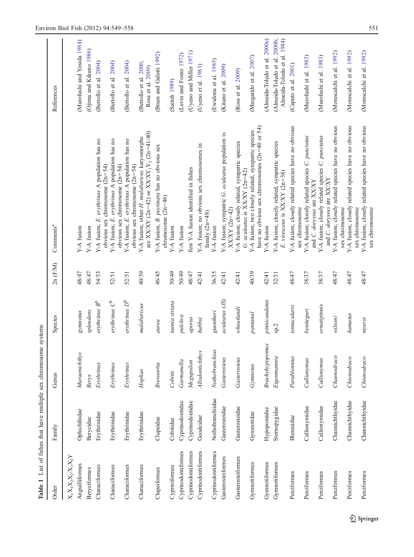<span id="page-2-0"></span>

| Order                                                                    | Family           | Genus                  | Species                                                                | 2n (F/M) | Comments <sup>a</sup>                                                                                             | References                                                   |
|--------------------------------------------------------------------------|------------------|------------------------|------------------------------------------------------------------------|----------|-------------------------------------------------------------------------------------------------------------------|--------------------------------------------------------------|
| $\mathbf{X}_1\mathbf{X}_2\mathbf{X}_2\mathbf{X}_1\mathbf{X}_2\mathbf{Y}$ |                  |                        |                                                                        |          |                                                                                                                   |                                                              |
| Anguilliformes                                                           | Ophichthidae     | Muraenichthys          | gymnotus                                                               | 48/47    | Y-A fusion                                                                                                        | (Murofushi and Yosida 1984)                                  |
| Beryciformes                                                             | Berycidae        | Beryx                  | splendens                                                              | 48/47    | Y-A fusion                                                                                                        | (Ojima and Kikuno 1986)                                      |
| Characiformes                                                            | Erythrinidae     | Erythrinus             | erythrinus B <sup>b</sup>                                              | 54/53    | Y-A fusion; E. erythrinus A population has no<br>obvious sex chromosome $(2n=54)$                                 | (Bertollo et al. 2004)                                       |
| Characiformes                                                            | Erythrinidae     | Erythrinus             | $\ensuremath{\mathit{erytminus}}\xspace$ $C^{\ensuremath{\mathsf{b}}}$ | 52/51    | Y-A fusion; E. erythrinus A population has no<br>obvious sex chromosome $(2n=54)$                                 | (Bertollo et al. 2004)                                       |
| Characiformes                                                            | Erythrinidae     | Erythrinus             | erythrinus D <sup>b</sup>                                              | 52/51    | Y-A fusion; E. erythrinus A population has no<br>obvious sex chromosome $(2n=54)$                                 | (Bertollo et al. 2004)                                       |
| Characiformes                                                            | Erythrinidae     | Hoplias                | malabaricus                                                            | 40/39    | are XX/XY (2n=42) or XX/XY <sub>1</sub> Y <sub>2</sub> (2n=41/40)<br>Y-A fusion; other H. malabaricus karyomorphs | (Bertollo et al. 2000;<br>Rosa et al. 2009)                  |
| Clupeiformes                                                             | Clupeidae        | Brevoortia             | aurea                                                                  | 46/45    | Y-A fusion, B. pectinata has no obvious sex<br>chromosome $(2n=46)$                                               | (Brum and Galetti 1992)                                      |
| Cypriniformes                                                            | Cobitidae        | Cobitis                | taenia striata                                                         | 50/49    | Y-A fusion                                                                                                        | (Saitoh 1989)                                                |
| Cyprinodontiformes                                                       | Cyprinodontidae  | Garmanella             | pulchra                                                                | 50/49    | Y-A fusion                                                                                                        | (Levin and Foster 1972)                                      |
| Cyprinodontiformes                                                       | Cyprinodontidae  | Megupsilon             | aporus                                                                 | 48/47    | first Y-A fusion identified in fishes                                                                             | (Uyeno and Miller 1971)                                      |
| Cyprinodontiformes                                                       | Goodeidae        | <b>Allodontichthys</b> | hubbsi                                                                 | 42/41    | Y-A fusion; no obvious sex chromosomes in<br>family $(2n=48)$                                                     | (Uyeno et al. 1983)                                          |
| Cyprinodontiformes                                                       | Nothobranchiidae | Nothobranchius         | guentheri                                                              | 36/35    | Y-A fusion                                                                                                        | (Ewulonu et al. 1985)                                        |
| Gasterosteiformes                                                        | Gasterosteidae   | Gasterosteus           | aculeatus (JS)                                                         | 42/41    | Y-A fusion; sympatric G. aculeatus population is<br>$XXXY (2n=42)$                                                | (Kitano et al. 2009)                                         |
| Gasterosteiformes                                                        | Gasterosteidae   | Gasterosteus           | wheatlandi                                                             | 42/41    | Y-A fusion; closely related, sympatric species<br>G. aculeatus is $XXXX$ (2n=42)                                  | (Ross et al. 2009)                                           |
| Gymnotiformes                                                            | Gymnotidae       | Gymnotus               | pantanal                                                               | 40/39    | have no obvious sex chromosomes $(2n=40$ or 54)<br>Y-A fusion; two closely related, sympatric species             | (Margarido et al. 2007)                                      |
| Gymnotiformes                                                            | Hypopomidae      | Brachyhypopomus        | pinnicaudatus                                                          | 42/41    | Y-A fusion                                                                                                        | (Almeida-Toledo et al. 2000a)                                |
| Gymnotiformes                                                            | Stemopygidae     | Eigenmannia            | sp.2                                                                   | 32/31    | Y-A fusion; closely related, sympatric species<br>E. virescens is XXXXY (2n=38)                                   | (Almeida-Toledo et al. 2000b;<br>Almeida-Toledo et al. 1984) |
| Perciformes                                                              | Blenniidae       | Parablennius           | tentacularis                                                           | 48/47    | Y-A fusion; closely related species have no obvious<br>sex chromosome                                             | (Caputo et al. 2001)                                         |
| Perciformes                                                              | Callionymidae    | Callionymus            | <b>beniteguri</b>                                                      | 38/37    | Y-A fusion; closely related species C. punctatus<br>and C. doryssus are XX/XY                                     | (Murofushi et al. 1983)                                      |
| Perciformes                                                              | Callionymidae    | Callionymus            | ornatipinnis                                                           | 38/37    | Y-A fusion; closely related species C. punctatus<br>and C. doryssus are XXXY                                      | (Murofushi et al. 1983)                                      |
| Perciformes                                                              | Channichthyidae  | Chaenodraco            | wilsoni                                                                | 48/47    | Y-A fusion; closely related species have no obvious                                                               | (Morescalchi et al. 1992)                                    |
| Perciformes                                                              | Channichthyidae  | Chionodraco            | hamatus                                                                | 48/47    | Y-A fusion; closely related species have no obvious<br>sex chromosome                                             | (Morescalchi et al. 1992)                                    |
| Perciformes                                                              | Channichthyidae  | Chionodraco            | myersi                                                                 | 48/47    | Y-A fusion; closely related species have no obvious<br>sex chromosome<br>sex chromosome                           | (Morescalchi et al. 1992)                                    |

Table 1 List of fishes that have multiple sex chromosome systems

Table 1 List of fishes that have multiple sex chromosome systems

 $\underline{\textcircled{\tiny 2}}$  Springer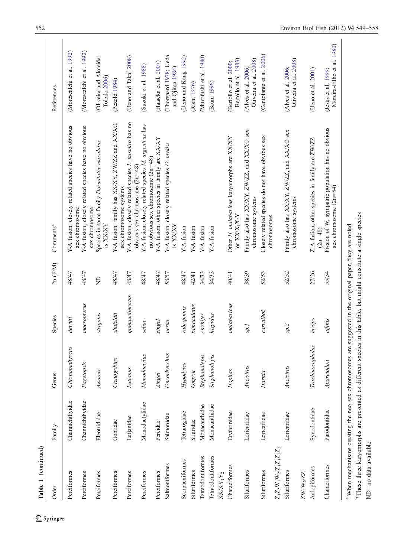| Table 1 (continued)                                                                                               |                 |                  |                 |          |                                                                                             |                                                   |
|-------------------------------------------------------------------------------------------------------------------|-----------------|------------------|-----------------|----------|---------------------------------------------------------------------------------------------|---------------------------------------------------|
| Order                                                                                                             | Family          | Genus            | Species         | 2n (F/M) | Comments <sup>a</sup>                                                                       | References                                        |
| Perciformes                                                                                                       | Channichthyidae | Chionobathyscus  | dewitti         | 48/47    | Y-A fusion; closely related species have no obvious<br>sex chromosome                       | (Morescalchi et al. 1992)                         |
| Perciformes                                                                                                       | Channichthyidae | Pagetopsis       | macropterus     | 48/47    | Y-A fusion; closely related species have no obvious<br>sex chromosome                       | (Morescalchi et al. 1992)                         |
| Perciformes                                                                                                       | Eleotrididae    | Awaous           | strigatus       | Ê        | Species in same family Dormitator maculatus<br>is XXXXY                                     | (Oliveira and Almeida-<br>Toledo 2006)            |
| Perciformes                                                                                                       | Gobiidae        | Ctenogobius      | shufeldti       | 48/47    | Y-A fusion; family has XX/XY, ZW/ZZ and XX/XO<br>sex chromosome systems                     | (Pezold 1984)                                     |
| Perciformes                                                                                                       | Lutjanidae      | Lutjanus         | quinquelineatus | 48/47    | Y-A fusion; closely related species L. kasmira has no<br>obvious sex chromosome $(2n=48)$   | (Ueno and Takai 2008)                             |
| Perciformes                                                                                                       | Monodactylidae  | Monodactylus     | sebae           | 48/47    | Y-A fusion; closely related species M. argenteus has<br>no obvious sex chromosome $(2n=48)$ | (Suzuki et al. 1988)                              |
| Perciformes                                                                                                       | Percidae        | Zingel           | zingel          | 48/47    | Y-A fusion; other species in family are XX/XY                                               | (Halacka et al. 2007)                             |
| Salmoniformes                                                                                                     | Salmonidae      | Oncorhynchus     | nerka           | 58/57    | Y-A fusion; closely related species O. mykiss<br>is XXXXY                                   | (Thorgaard 1978; Ueda<br>and Ojima 1984)          |
| Scorpaeniformes                                                                                                   | Tetrarogidae    | Hypodytes        | rubripinnis     | 48/47    | Y-A fusion                                                                                  | (Ueno and Kang 1992)                              |
| Siluriformes                                                                                                      | Siluridae       | $Ompok$          | bimaculatus     | 42/41    | Y-A fusion                                                                                  | (Rishi 1976)                                      |
| Tetraodontiformes                                                                                                 | Monacanthidae   | Stephanolepis    | cirrhifer       | 34/33    | Y-A fusion                                                                                  | (Murofushi et al. 1980)                           |
| Tetraodontiformes<br>$XXXY_1Y_2$                                                                                  | Monacanthidae   | Stephanolepis    | hispidus        | 34/33    | Y-A fusion                                                                                  | (Brun 1996)                                       |
| Characiformes                                                                                                     | Erythrinidae    | Hoplias          | malabaricus     | 40/41    | Other H. malabaricus karyomorphs are XX/XY<br>or $XXX_1X_2Y$                                | Bertollo et al. 1983)<br>(Bertollo et al. 2000;   |
| Siluriformes                                                                                                      | Loricariidae    | Ancistrus        | $sp.l$          | 38/39    | Family also has XX/XY, ZW/ZZ, and XX/XO sex<br>chromosome systems                           | Oliveira et al. 2008)<br>(Alves et al. 2006;      |
| Siluriformes                                                                                                      | Loricariidae    | Harttia          | carvalhoi       | 52/53    | Closely related species do not have obvious sex<br>chromosomes                              | (Centofante et al. 2006)                          |
| $Z_1 Z_2 W_1 W_2/Z_1 Z_1 Z_2 Z_2$                                                                                 |                 |                  |                 |          |                                                                                             |                                                   |
| Siluriformes                                                                                                      | Loricariidae    | Ancistrus        | sp.2            | 52/52    | Family also has XX/XY, ZW/ZZ, and XX/XO sex<br>chromosome systems                           | Oliveira et al. 2008)<br>(Alves et al. 2006;      |
| $ZW_1W_2/ZZ$                                                                                                      |                 |                  |                 |          |                                                                                             |                                                   |
| Aulopiformes                                                                                                      | Synodontidae    | Trachinocephalus | wyops           | 27/26    | Z-A fusion; other species in family are ZW/ZZ<br>$(2n=48)$                                  | (Ueno et al. 2001)                                |
| Characiformes                                                                                                     | Parodontidae    | Apareiodon       | $a$ ffinis      | 55/54    | Fission of W; sympatric population has no obvious<br>sex chromosome $(2n=54)$               | Moreira-Filho et al. 1980)<br>(Jesus et al. 1999; |
| <sup>a</sup> When mechanisms creating the neo sex chromosomes are suggested in the original paper, they are noted |                 |                  |                 |          |                                                                                             |                                                   |

 $\underline{\textcircled{\tiny 2}}$  Springer

b These three karyomorphs are presented as different species in this table, but might constitute a single species

<sup>b</sup> These three karyomorphs are presented as different species in this table, but might constitute a single species

ND=no data available

ND=no data available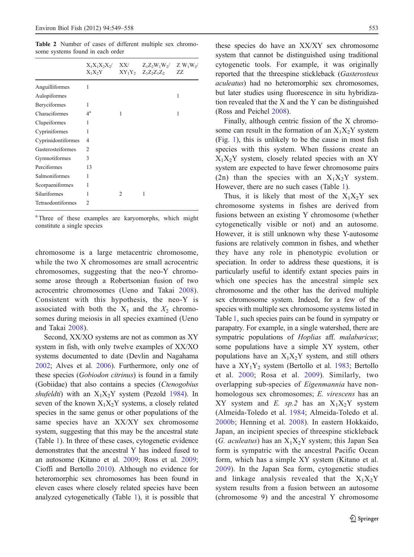<span id="page-4-0"></span>Table 2 Number of cases of different multiple sex chromosome systems found in each order

|                    | $X_1X_1X_2X_2/$ XX<br>$X_1X_2Y$ |                | $Z_1Z_2W_1W_2$ / $ZW_1W_2$ /<br>$XY_1Y_2$ $Z_1Z_2Z_1Z_2$ ZZ |   |
|--------------------|---------------------------------|----------------|-------------------------------------------------------------|---|
| Anguilliformes     | 1                               |                |                                                             |   |
| Aulopiformes       |                                 |                |                                                             | 1 |
| Beryciformes       | 1                               |                |                                                             |   |
| Characiformes      | 4 <sup>a</sup>                  | 1              |                                                             | 1 |
| Clupeiformes       | 1                               |                |                                                             |   |
| Cypriniformes      | 1                               |                |                                                             |   |
| Cyprinidontiformes | $\overline{4}$                  |                |                                                             |   |
| Gasterosteiformes  | $\overline{c}$                  |                |                                                             |   |
| Gymnotiformes      | 3                               |                |                                                             |   |
| Perciformes        | 13                              |                |                                                             |   |
| Salmoniformes      | 1                               |                |                                                             |   |
| Scorpaeniformes    | 1                               |                |                                                             |   |
| Siluriformes       | 1                               | $\overline{c}$ | 1                                                           |   |
| Tetraodontiformes  | $\mathfrak{D}$                  |                |                                                             |   |

<sup>a</sup> Three of these examples are karyomorphs, which might constitute a single species

chromosome is a large metacentric chromosome, while the two X chromosomes are small acrocentric chromosomes, suggesting that the neo-Y chromosome arose through a Robertsonian fusion of two acrocentric chromosomes (Ueno and Takai [2008](#page-8-0)). Consistent with this hypothesis, the neo-Y is associated with both the  $X_1$  and the  $X_2$  chromosomes during meiosis in all species examined (Ueno and Takai [2008\)](#page-8-0).

Second, XX/XO systems are not as common as XY system in fish, with only twelve examples of XX/XO systems documented to date (Devlin and Nagahama [2002](#page-7-0); Alves et al. [2006\)](#page-7-0). Furthermore, only one of these species (Gobiodon citrinus) is found in a family (Gobiidae) that also contains a species (Ctenogobius shufeldti) with an  $X_1X_2Y$  system (Pezold [1984\)](#page-8-0). In seven of the known  $X_1X_2Y$  systems, a closely related species in the same genus or other populations of the same species have an XX/XY sex chromosome system, suggesting that this may be the ancestral state (Table [1](#page-2-0)). In three of these cases, cytogenetic evidence demonstrates that the ancestral Y has indeed fused to an autosome (Kitano et al. [2009;](#page-7-0) Ross et al. [2009](#page-8-0); Cioffi and Bertollo [2010\)](#page-7-0). Although no evidence for heteromorphic sex chromosomes has been found in eleven cases where closely related species have been analyzed cytogenetically (Table [1](#page-2-0)), it is possible that these species do have an XX/XY sex chromosome system that cannot be distinguished using traditional cytogenetic tools. For example, it was originally reported that the threespine stickleback (Gasterosteus aculeatus) had no heteromorphic sex chromosomes, but later studies using fluorescence in situ hybridization revealed that the X and the Y can be distinguished (Ross and Peichel [2008\)](#page-8-0).

Finally, although centric fission of the X chromosome can result in the formation of an  $X_1X_2Y$  system (Fig. [1](#page-1-0)), this is unlikely to be the cause in most fish species with this system. When fissions create an  $X_1X_2Y$  system, closely related species with an XY system are expected to have fewer chromosome pairs (2n) than the species with an  $X_1X_2Y$  system. However, there are no such cases (Table [1](#page-2-0)).

Thus, it is likely that most of the  $X_1X_2Y$  sex chromosome systems in fishes are derived from fusions between an existing Y chromosome (whether cytogenetically visible or not) and an autosome. However, it is still unknown why these Y-autosome fusions are relatively common in fishes, and whether they have any role in phenotypic evolution or speciation. In order to address these questions, it is particularly useful to identify extant species pairs in which one species has the ancestral simple sex chromosome and the other has the derived multiple sex chromosome system. Indeed, for a few of the species with multiple sex chromosome systems listed in Table [1](#page-2-0), such species pairs can be found in sympatry or parapatry. For example, in a single watershed, there are sympatric populations of Hoplias aff. malabaricus; some populations have a simple XY system, other populations have an  $X_1X_2Y$  system, and still others have a  $XY_1Y_2$  system (Bertollo et al. [1983;](#page-7-0) Bertollo et al. [2000;](#page-7-0) Rosa et al. [2009\)](#page-8-0). Similarly, two overlapping sub-species of Eigenmannia have nonhomologous sex chromosomes; E. virescens has an XY system and E. sp.2 has an  $X_1X_2Y$  system (Almeida-Toledo et al. [1984](#page-7-0); Almeida-Toledo et al. [2000b](#page-7-0); Henning et al. [2008](#page-7-0)). In eastern Hokkaido, Japan, an incipient species of threespine stickleback (G. aculeatus) has an  $X_1X_2Y$  system; this Japan Sea form is sympatric with the ancestral Pacific Ocean form, which has a simple XY system (Kitano et al. [2009](#page-7-0)). In the Japan Sea form, cytogenetic studies and linkage analysis revealed that the  $X_1X_2Y$ system results from a fusion between an autosome (chromosome 9) and the ancestral Y chromosome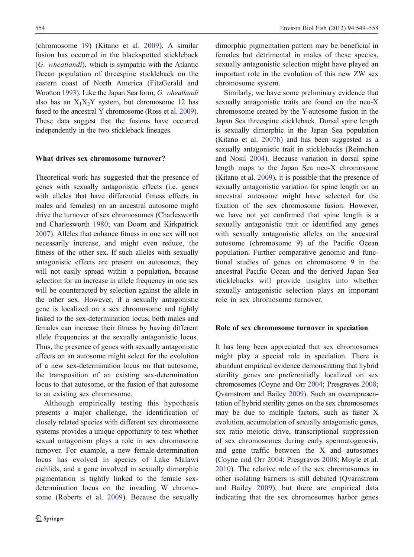(chromosome 19) (Kitano et al. [2009\)](#page-7-0). A similar fusion has occurred in the blackspotted stickleback (G. wheatlandi), which is sympatric with the Atlantic Ocean population of threespine stickleback on the eastern coast of North America (FitzGerald and Wootton [1993](#page-7-0)). Like the Japan Sea form, G. wheatlandi also has an  $X_1X_2Y$  system, but chromosome 12 has fused to the ancestral Y chromosome (Ross et al. [2009\)](#page-8-0). These data suggest that the fusions have occurred independently in the two stickleback lineages.

## What drives sex chromosome turnover?

Theoretical work has suggested that the presence of genes with sexually antagonistic effects (i.e. genes with alleles that have differential fitness effects in males and females) on an ancestral autosome might drive the turnover of sex chromosomes (Charlesworth and Charlesworth [1980;](#page-7-0) van Doorn and Kirkpatrick [2007\)](#page-9-0). Alleles that enhance fitness in one sex will not necessarily increase, and might even reduce, the fitness of the other sex. If such alleles with sexually antagonistic effects are present on autosomes, they will not easily spread within a population, because selection for an increase in allele frequency in one sex will be counteracted by selection against the allele in the other sex. However, if a sexually antagonistic gene is localized on a sex chromosome and tightly linked to the sex-determination locus, both males and females can increase their fitness by having different allele frequencies at the sexually antagonistic locus. Thus, the presence of genes with sexually antagonistic effects on an autosome might select for the evolution of a new sex-determination locus on that autosome, the transposition of an existing sex-determination locus to that autosome, or the fusion of that autosome to an existing sex chromosome.

Although empirically testing this hypothesis presents a major challenge, the identification of closely related species with different sex chromosome systems provides a unique opportunity to test whether sexual antagonism plays a role in sex chromosome turnover. For example, a new female-determination locus has evolved in species of Lake Malawi cichlids, and a gene involved in sexually dimorphic pigmentation is tightly linked to the female sexdetermination locus on the invading W chromosome (Roberts et al. [2009](#page-8-0)). Because the sexually

dimorphic pigmentation pattern may be beneficial in females but detrimental in males of these species, sexually antagonistic selection might have played an important role in the evolution of this new ZW sex chromosome system.

Similarly, we have some preliminary evidence that sexually antagonistic traits are found on the neo-X chromosome created by the Y-autosome fusion in the Japan Sea threespine stickleback. Dorsal spine length is sexually dimorphic in the Japan Sea population (Kitano et al. [2007b\)](#page-7-0) and has been suggested as a sexually antagonistic trait in sticklebacks (Reimchen and Nosil [2004](#page-8-0)). Because variation in dorsal spine length maps to the Japan Sea neo-X chromosome (Kitano et al. [2009](#page-7-0)), it is possible that the presence of sexually antagonistic variation for spine length on an ancestral autosome might have selected for the fixation of the sex chromosome fusion. However, we have not yet confirmed that spine length is a sexually antagonistic trait or identified any genes with sexually antagonistic alleles on the ancestral autosome (chromosome 9) of the Pacific Ocean population. Further comparative genomic and functional studies of genes on chromosome 9 in the ancestral Pacific Ocean and the derived Japan Sea sticklebacks will provide insights into whether sexually antagonistic selection plays an important role in sex chromosome turnover.

#### Role of sex chromosome turnover in speciation

It has long been appreciated that sex chromosomes might play a special role in speciation. There is abundant empirical evidence demonstrating that hybrid sterility genes are preferentially localized on sex chromosomes (Coyne and Orr [2004](#page-7-0); Presgraves [2008;](#page-8-0) Qvarnstrom and Bailey [2009\)](#page-8-0). Such an overrepresentation of hybrid sterility genes on the sex chromosomes may be due to multiple factors, such as faster X evolution, accumulation of sexually antagonistic genes, sex ratio meiotic drive, transcriptional suppression of sex chromosomes during early spermatogenesis, and gene traffic between the X and autosomes (Coyne and Orr [2004;](#page-7-0) Presgraves [2008;](#page-8-0) Moyle et al. [2010](#page-8-0)). The relative role of the sex chromosomes in other isolating barriers is still debated (Qvarnstrom and Bailey [2009](#page-8-0)), but there are empirical data indicating that the sex chromosomes harbor genes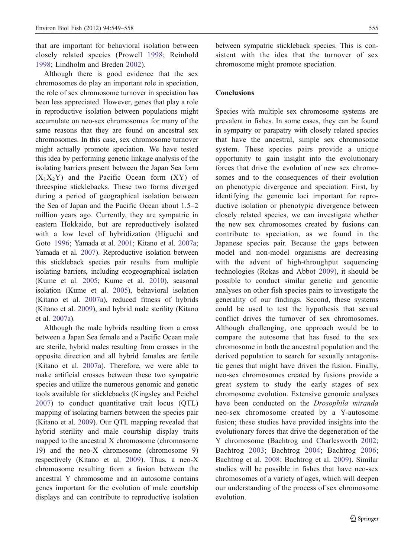that are important for behavioral isolation between closely related species (Prowell [1998](#page-8-0); Reinhold [1998](#page-8-0); Lindholm and Breden [2002\)](#page-8-0).

Although there is good evidence that the sex chromosomes do play an important role in speciation, the role of sex chromosome turnover in speciation has been less appreciated. However, genes that play a role in reproductive isolation between populations might accumulate on neo-sex chromosomes for many of the same reasons that they are found on ancestral sex chromosomes. In this case, sex chromosome turnover might actually promote speciation. We have tested this idea by performing genetic linkage analysis of the isolating barriers present between the Japan Sea form  $(X_1X_2Y)$  and the Pacific Ocean form  $(XY)$  of threespine sticklebacks. These two forms diverged during a period of geographical isolation between the Sea of Japan and the Pacific Ocean about 1.5–2 million years ago. Currently, they are sympatric in eastern Hokkaido, but are reproductively isolated with a low level of hybridization (Higuchi and Goto [1996;](#page-7-0) Yamada et al. [2001](#page-9-0); Kitano et al. [2007a](#page-7-0); Yamada et al. [2007](#page-9-0)). Reproductive isolation between this stickleback species pair results from multiple isolating barriers, including ecogeographical isolation (Kume et al. [2005](#page-8-0); Kume et al. [2010](#page-8-0)), seasonal isolation (Kume et al. [2005](#page-8-0)), behavioral isolation (Kitano et al. [2007a\)](#page-7-0), reduced fitness of hybrids (Kitano et al. [2009](#page-7-0)), and hybrid male sterility (Kitano et al. [2007a](#page-7-0)).

Although the male hybrids resulting from a cross between a Japan Sea female and a Pacific Ocean male are sterile, hybrid males resulting from crosses in the opposite direction and all hybrid females are fertile (Kitano et al. [2007a\)](#page-7-0). Therefore, we were able to make artificial crosses between these two sympatric species and utilize the numerous genomic and genetic tools available for sticklebacks (Kingsley and Peichel [2007](#page-7-0)) to conduct quantitative trait locus (QTL) mapping of isolating barriers between the species pair (Kitano et al. [2009](#page-7-0)). Our QTL mapping revealed that hybrid sterility and male courtship display traits mapped to the ancestral X chromosome (chromosome 19) and the neo-X chromosome (chromosome 9) respectively (Kitano et al. [2009](#page-7-0)). Thus, a neo-X chromosome resulting from a fusion between the ancestral Y chromosome and an autosome contains genes important for the evolution of male courtship displays and can contribute to reproductive isolation

between sympatric stickleback species. This is consistent with the idea that the turnover of sex chromosome might promote speciation.

# Conclusions

Species with multiple sex chromosome systems are prevalent in fishes. In some cases, they can be found in sympatry or parapatry with closely related species that have the ancestral, simple sex chromosome system. These species pairs provide a unique opportunity to gain insight into the evolutionary forces that drive the evolution of new sex chromosomes and to the consequences of their evolution on phenotypic divergence and speciation. First, by identifying the genomic loci important for reproductive isolation or phenotypic divergence between closely related species, we can investigate whether the new sex chromosomes created by fusions can contribute to speciation, as we found in the Japanese species pair. Because the gaps between model and non-model organisms are decreasing with the advent of high-throughput sequencing technologies (Rokas and Abbot [2009\)](#page-8-0), it should be possible to conduct similar genetic and genomic analyses on other fish species pairs to investigate the generality of our findings. Second, these systems could be used to test the hypothesis that sexual conflict drives the turnover of sex chromosomes. Although challenging, one approach would be to compare the autosome that has fused to the sex chromosome in both the ancestral population and the derived population to search for sexually antagonistic genes that might have driven the fusion. Finally, neo-sex chromosomes created by fusions provide a great system to study the early stages of sex chromosome evolution. Extensive genomic analyses have been conducted on the Drosophila miranda neo-sex chromosome created by a Y-autosome fusion; these studies have provided insights into the evolutionary forces that drive the degeneration of the Y chromosome (Bachtrog and Charlesworth [2002;](#page-7-0) Bachtrog [2003;](#page-7-0) Bachtrog [2004;](#page-7-0) Bachtrog [2006;](#page-7-0) Bachtrog et al. [2008;](#page-7-0) Bachtrog et al. [2009](#page-7-0)). Similar studies will be possible in fishes that have neo-sex chromosomes of a variety of ages, which will deepen our understanding of the process of sex chromosome evolution.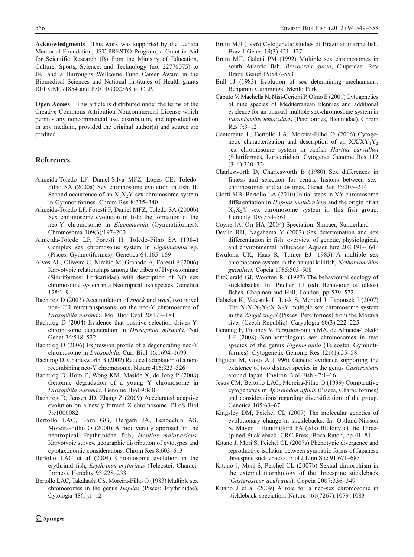<span id="page-7-0"></span>Acknowledgments This work was supported by the Uehara Memorial Foundation, JST PRESTO Program, a Grant-in-Aid for Scientific Research (B) from the Ministry of Education, Culture, Sports, Science, and Technology (no. 22770075) to JK, and a Burroughs Wellcome Fund Career Award in the Biomedical Sciences and National Institutes of Health grants R01 GM071854 and P50 HG002568 to CLP.

Open Access This article is distributed under the terms of the Creative Commons Attribution Noncommercial License which permits any noncommercial use, distribution, and reproduction in any medium, provided the original author(s) and source are credited.

# References

- Almeida-Toledo LF, Daniel-Silva MFZ, Lopes CE, Toledo-Filho SA (2000a) Sex chromosome evolution in fish. II. Second occurrence of an  $X_1X_2Y$  sex chromosome system in Gymnotiformes. Chrom Res 8:335–340
- Almeida-Toledo LF, Foresti F, Daniel MFZ, Toledo SA (2000b) Sex chromosome evolution in fish: the formation of the neo-Y chromosome in Eigenmannia (Gymnotiformes). Chromosoma 109(3):197–200
- Almeida-Toledo LF, Foresti H, Toledo-Filho SA (1984) Complex sex chromosome system in Eigenmannia sp. (Pisces, Gymnotiformes). Genetica 64:165–169
- Alves AL, Oliveira C, Nirchio M, Granado A, Foresti F (2006) Karyotypic relationships among the tribes of Hypostominae (Siluriformes: Loricariidae) with description of XO sex chromosome system in a Neotropical fish species. Genetica 128:1–9
- Bachtrog D (2003) Accumulation of *spock* and *worf*, two novel non-LTR retrotransposons, on the neo-Y chromosome of Drosophila miranda. Mol Biol Evol 20:173–181
- Bachtrog D (2004) Evidence that positive selection drives Ychromosome degeneration in Drosophila miranda. Nat Genet 36:518–522
- Bachtrog D (2006) Expression profile of a degenerating neo-Y chromosome in Drosophila. Curr Biol 16:1694–1699
- Bachtrog D, Charlesworth B (2002) Reduced adaptation of a nonrecombining neo-Y chromosome. Nature 416:323–326
- Bachtrog D, Hom E, Wong KM, Maside X, de Jong P (2008) Genomic degradation of a young Y chromosome in Drosophila miranda. Genome Biol 9:R30
- Bachtrog D, Jensen JD, Zhang Z (2009) Accelerated adaptive evolution on a newly formed X chromosome. PLoS Biol 7:e1000082
- Bertollo LAC, Born GG, Dergam JA, Fenocchio AS, Moreira-Filho O (2000) A biodiversity approach in the neotropical Erythrinidae fish, Hoplias malabaricus. Karyotypic survey, geographic distribution of cytotypes and cytotaxonomic considerations. Chrom Res 8:603–613
- Bertollo LAC et al (2004) Chromosome evolution in the erythrinid fish, Erythrinus erythrinus (Teleostei: Characiformes). Heredity 93:228–233
- Bertollo LAC, Takahashi CS, Moreira-Filho O (1983) Multiple sex chromosomes in the genus Hoplias (Pisces: Erythrinidae). Cytologia 48(1):1–12
- Brum MJI (1996) Cytogenetic studies of Brazilian marine fish. Braz J Genet 19(3):421–427
- Brum MJI, Galetti PM (1992) Multiple sex chromosomes in south Atlantic fish, Brevoortia aurea, Clupeidae. Rev Brazil Genet 15:547–553
- Bull JJ (1983) Evolution of sex determining mechanisms. Benjamin Cummings, Menlo Park
- Caputo V, Machella N, Nisi-Cerioni P, Olmo E (2001) Cytogenetics of nine species of Mediterranean blennies and additional evidence for an unusual multiple sex-chromosome system in Parablennius tentacularis (Perciformes, Blenniidae). Chrom Res 9:3–12
- Centofante L, Bertollo LA, Moreira-Filho O (2006) Cytogenetic characterization and description of an  $XX/XY_1Y_2$ sex chromosome system in catfish Harttia carvalhoi (Siluriformes, Loricariidae). Cytogenet Genome Res 112 (3–4):320–324
- Charlesworth D, Charlesworth B (1980) Sex differences in fitness and selection for centric fusions between sexchromosomes and autosomes. Genet Res 35:205–214
- Cioffi MB, Bertollo LA (2010) Initial steps in XY chromosome differentiation in Hoplias malabaricus and the origin of an  $X_1X_2Y$  sex chromosome system in this fish group. Heredity 105:554–561
- Coyne JA, Orr HA (2004) Speciation. Sinauer, Sunderland
- Devlin RH, Nagahama Y (2002) Sex determination and sex differentiation in fish: overview of genetic, physiological, and environmental influences. Aquaculture 208:191–364
- Ewulonu UK, Haas R, Turner BJ (1985) A multiple sex chromosome system in the annual killifish, Nothobranchius guentheri. Copeia 1985:503–508
- FitzGerald GJ, Wootton RJ (1993) The behavioural ecology of sticklebacks. In: Pitcher TJ (ed) Behaviour of teleost fishes. Chapman and Hall, London, pp 539–572
- Halacka K, Vetesnik L, Lusk S, Mendel J, Papousek I (2007) The  $X_1X_2X_2X_1X_2Y$  multiple sex chromosome system in the Zingel zingel (Pisces: Perciformes) from the Morava river (Czech Republic). Caryologia 60(3):222–225
- Henning F, Trifonov V, Ferguson-Smith MA, de Almeida-Toledo LF (2008) Non-homologous sex chromosomes in two species of the genus *Eigenmannia* (Teleostei: Gymnotiformes). Cytogenetic Genome Res 121(1):55–58
- Higuchi M, Goto A (1996) Genetic evidence supporting the existence of two distinct species in the genus Gasterosteus around Japan. Environ Biol Fish 47:1–16
- Jesus CM, Bertollo LAC, Moreira-Filho O (1999) Comparative cytogenetics in Apareiodon affinis (Pisces, Characiformes) and considerations regarding diversification of the group. Genetica 105:63–67
- Kingsley DM, Peichel CL (2007) The molecular genetics of evolutionary change in sticklebacks. In: Ostlund-Nilsson S, Mayer I, Huntingford FA (eds) Biology of the Threespined Stickleback. CRC Press, Boca Raton, pp 41–81
- Kitano J, Mori S, Peichel CL (2007a) Phenotypic divergence and reproductive isolation between sympatric forms of Japanese threespine sticklebacks. Biol J Linn Soc 91:671–685
- Kitano J, Mori S, Peichel CL (2007b) Sexual dimorphism in the external morphology of the threespine stickleback (Gasterosteus aculeatus). Copeia 2007:336–349
- Kitano J et al (2009) A role for a neo-sex chromosome in stickleback speciation. Nature 461(7267):1079–1083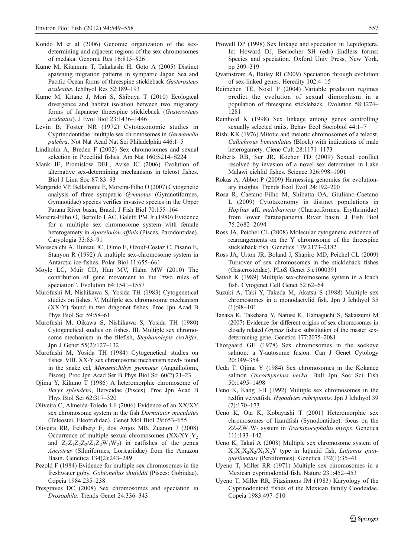- <span id="page-8-0"></span>Kondo M et al (2006) Genomic organization of the sexdetermining and adjacent regions of the sex chromosomes of medaka. Genome Res 16:815–826
- Kume M, Kitamura T, Takahashi H, Goto A (2005) Distinct spawning migration patterns in sympatric Japan Sea and Pacific Ocean forms of threespine stickleback Gasterosteus aculeatus. Ichthyol Res 52:189–193
- Kume M, Kitano J, Mori S, Shibuya T (2010) Ecological divergence and habitat isolation between two migratory forms of Japanese threespine stickleback (Gasterosteus aculeatus). J Evol Biol 23:1436–1446
- Levin B, Foster NR (1972) Cytotaxonomic studies in Cyprinodontidae: multiple sex chromosomes in Garmanella pulchra. Not Nat Acad Nat Sci Philadelphia 446:1–5
- Lindholm A, Breden F (2002) Sex chromosomes and sexual selection in Poeciliid fishes. Am Nat 160:S214–S224
- Mank JE, Promislow DEL, Avise JC (2006) Evolution of alternative sex-determining mechanisms in teleost fishes. Biol J Linn Soc 87:83–93
- Margarido VP, Bellafronte E, Moreira-Filho O (2007) Cytogenetic analysis of three sympatric Gymnotus (Gymnotiformes, Gymnotidae) species verifies invasive species in the Upper Parana River basin, Brazil. J Fish Biol 70:155–164
- Moreira-Filho O, Bertollo LAC, Galetti PM Jr (1980) Evidence for a multiple sex chromosome system with female heterogamety in Apareiodon affinis (Pisces, Parodontidae). Caryologia 33:83–91
- Morescalchi A, Hureau JC, Olmo E, Ozouf-Costaz C, Pisano E, Stanyon R (1992) A multiple sex-chromosome system in Antarctic ice-fishes. Polar Biol 11:655–661
- Moyle LC, Muir CD, Han MV, Hahn MW (2010) The contribution of gene movement to the "two rules of speciation". Evolution 64:1541–1557
- Murofushi M, Nishikawa S, Yosida TH (1983) Cytogenetical studies on fishes. V. Multiple sex chromosome mechanism (XX-Y) found in two dragonet fishes. Proc Jpn Acad B Phys Biol Sci 59:58–61
- Murofushi M, Oikawa S, Nishikawa S, Yosida TH (1980) Cytogenetical studies on fishes. III. Multiple sex chromosome mechanism in the filefish, Stephanolepis cirrhifer. Jpn J Genet 55(2):127–132
- Murofushi M, Yosida TH (1984) Cytogenetical studies on fishes. VIII. XX-Y sex chromosome mechanism newly found in the snake eel, Muraenichthys gymnotus (Anguilloform, Pisces). Proc Jpn Acad Ser B Phys Biol Sci 60(2):21–23
- Ojima Y, Kikuno T (1986) A heteromorphic chromosome of Beryx splendens, Berycidae (Pisces). Proc Jpn Acad B Phys Biol Sci 62:317–320
- Oliveira C, Almeida-Toledo LF (2006) Evidence of an XX/XY sex chromosome system in the fish Dormitator maculatus (Teleostei, Eleotrididae). Genet Mol Biol 29:653–655
- Oliveira RR, Feldberg E, dos Anjos MB, Zuanon J (2008) Occurrence of multiple sexual chromosomes  $(XX/XY_1Y_2)$ and  $Z_1Z_1Z_2Z_2/Z_1Z_2W_1W_2$  in catfishes of the genus Ancistrus (Siluriformes, Loricariidae) from the Amazon Basin. Genetica 134(2):243–249
- Pezold F (1984) Evidence for multiple sex chromosomes in the freshwater goby, Gobionellus shufeldti (Pisces: Gobiidae). Copeia 1984:235–238
- Presgraves DC (2008) Sex chromosomes and speciation in Drosophila. Trends Genet 24:336–343
- Prowell DP (1998) Sex linkage and speciation in Lepidoptera. In: Howard DJ, Berlocher SH (eds) Endless forms: Species and speciation. Oxford Univ Press, New York, pp 309–319
- Qvarnstrom A, Bailey RI (2009) Speciation through evolution of sex-linked genes. Heredity 102:4–15
- Reimchen TE, Nosil P (2004) Variable predation regimes predict the evolution of sexual dimorphism in a population of threespine stickleback. Evolution 58:1274– 1281
- Reinhold K (1998) Sex linkage among genes controlling sexually selected traits. Behav Ecol Sociobiol 44:1–7
- Rishi KK (1976) Mitotic and meiotic chromosomes of a teleost, Callichrous bimaculatus (Bloch) with indications of male heterogamety. Cienc Cult 28:1171–1173
- Roberts RB, Ser JR, Kocher TD (2009) Sexual conflict resolved by invasion of a novel sex determiner in Lake Malawi cichlid fishes. Science 326:998–1001
- Rokas A, Abbot P (2009) Harnessing genomics for evolutionary insights. Trends Ecol Evol 24:192–200
- Rosa R, Caetano-Filho M, Shibatta OA, Giuliano-Caetano L (2009) Cytotaxonomy in distinct populations in Hoplias aff. malabaricus (Characiformes, Erythrinidae) from lower Paranapanema River basin. J Fish Biol 75:2682–2694
- Ross JA, Peichel CL (2008) Molecular cytogenetic evidence of rearrangements on the Y chromosome of the threespine stickleback fish. Genetics 179:2173–2182
- Ross JA, Urton JR, Boland J, Shapiro MD, Peichel CL (2009) Turnover of sex chromosomes in the stickleback fishes (Gasterosteidae). PLoS Genet 5:e1000391
- Saitoh K (1989) Multiple sex-chromosome system in a loach fish. Cytogenet Cell Genet 52:62–64
- Suzuki A, Taki Y, Takeda M, Akatsu S (1988) Multiple sex chromosomes in a monodactylid fish. Jpn J Ichthyol 35 (1):98–101
- Tanaka K, Takehana Y, Naruse K, Hamaguchi S, Sakaizumi M (2007) Evidence for different origins of sex chromosomes in closely related Oryzias fishes: substitution of the master sexdetermining gene. Genetics 177:2075–2081
- Thorgaard GH (1978) Sex chromosomes in the sockeye salmon: a Y-autosome fusion. Can J Genet Cytology 20:349–354
- Ueda T, Ojima Y (1984) Sex chromosomes in the Kokanee salmon Oncorhynchus nerka. Bull Jpn Soc Sci Fish 50:1495–1498
- Ueno K, Kang J-H (1992) Multiple sex chromosomes in the redfin velvetfish, Hypodytes rubripinnis. Jpn J Ichthyol 39 (2):170–173
- Ueno K, Ota K, Kobayashi T (2001) Heteromorphic sex chromosomes of lizardfish (Synodontidae): focus on the  $ZZ-ZW_1W_2$  system in Trachinocephalus myops. Genetica 111:133–142
- Ueno K, Takai A (2008) Multiple sex chromosome system of  $X_1X_1X_2X_2/X_1X_2Y$  type in lutjanid fish, Lutjanus quinquelineatus (Perciformes). Genetica 132(1):35–41
- Uyeno T, Miller RR (1971) Multiple sex chromosomes in a Mexican cyprinodontid fish. Nature 231:452–453
- Uyeno T, Miller RR, Fitzsimons JM (1983) Karyology of the Cyprinodontoid fishes of the Mexican family Goodeidae. Copeia 1983:497–510